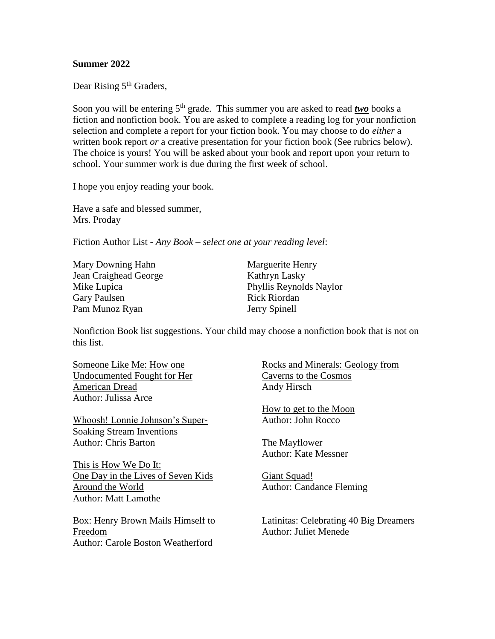## **Summer 2022**

Dear Rising 5<sup>th</sup> Graders,

Soon you will be entering 5<sup>th</sup> grade. This summer you are asked to read *two* books a fiction and nonfiction book. You are asked to complete a reading log for your nonfiction selection and complete a report for your fiction book. You may choose to do *either* a written book report *or* a creative presentation for your fiction book (See rubrics below). The choice is yours! You will be asked about your book and report upon your return to school. Your summer work is due during the first week of school.

I hope you enjoy reading your book.

Have a safe and blessed summer, Mrs. Proday

Fiction Author List - *Any Book – select one at your reading level*:

Mary Downing Hahn Marguerite Henry Jean Craighead George Kathryn Lasky Gary Paulsen Rick Riordan Pam Munoz Ryan Jerry Spinell

Mike Lupica Phyllis Reynolds Naylor

Nonfiction Book list suggestions. Your child may choose a nonfiction book that is not on this list.

Someone Like Me: How one Undocumented Fought for Her American Dread Author: Julissa Arce

Whoosh! Lonnie Johnson's Super-Soaking Stream Inventions Author: Chris Barton

This is How We Do It: One Day in the Lives of Seven Kids Around the World Author: Matt Lamothe

Box: Henry Brown Mails Himself to Freedom Author: Carole Boston Weatherford

Rocks and Minerals: Geology from Caverns to the Cosmos Andy Hirsch

How to get to the Moon Author: John Rocco

The Mayflower Author: Kate Messner

Giant Squad! Author: Candance Fleming

Latinitas: Celebrating 40 Big Dreamers Author: Juliet Menede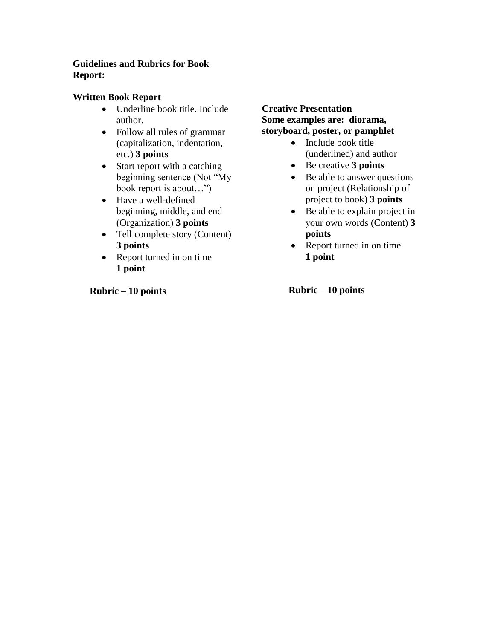## **Guidelines and Rubrics for Book Report:**

## **Written Book Report**

- Underline book title. Include author.
- Follow all rules of grammar (capitalization, indentation, etc.) **3 points**
- Start report with a catching beginning sentence (Not "My book report is about…")
- Have a well-defined beginning, middle, and end (Organization) **3 points**
- Tell complete story (Content) **3 points**
- Report turned in on time **1 point**

 **Rubric – 10 points**

## **Creative Presentation Some examples are: diorama, storyboard, poster, or pamphlet**

- Include book title (underlined) and author
- Be creative **3 points**
- Be able to answer questions on project (Relationship of project to book) **3 points**
- Be able to explain project in your own words (Content) **3 points**
- Report turned in on time **1 point**

 **Rubric – 10 points**